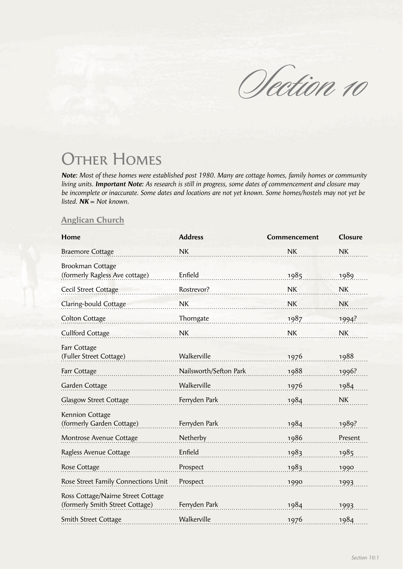Section 10

## **OTHER HOMES**

*Note: Most of these homes were established post 1980. Many are cottage homes, family homes or community living units. Important Note: As research is still in progress, some dates of commencement and closure may be incomplete or inaccurate. Some dates and locations are not yet known. Some homes/hostels may not yet be listed. NK = Not known.*

## **Anglican Church**

| Home                                                                  | <b>Address</b>         | Commencement | Closure   |
|-----------------------------------------------------------------------|------------------------|--------------|-----------|
| <b>Braemore Cottage</b>                                               | <b>NK</b>              | <b>NK</b>    | <b>NK</b> |
| <b>Brookman Cottage</b><br>(formerly Ragless Ave cottage)             | Enfield                | 1985         | 1989      |
| Cecil Street Cottage                                                  | Rostrevor?             | <b>NK</b>    | <b>NK</b> |
| Claring-bould Cottage                                                 | <b>NK</b>              | <b>NK</b>    | <b>NK</b> |
| <b>Colton Cottage</b>                                                 | Thorngate              | 1987         | 1994?     |
| <b>Cullford Cottage</b>                                               | NK                     | <b>NK</b>    | <b>NK</b> |
| Farr Cottage<br>(Fuller Street Cottage)                               | Walkerville            | 1976         | 1988      |
| Farr Cottage                                                          | Nailsworth/Sefton Park | 1988         | 1996?     |
| Garden Cottage                                                        | Walkerville            | 1976         | 1984      |
| <b>Glasgow Street Cottage</b>                                         | Ferryden Park          | 1984         | <b>NK</b> |
| <b>Kennion Cottage</b><br>(formerly Garden Cottage)                   | Ferryden Park          | 1984         | 1989?     |
| Montrose Avenue Cottage                                               | Netherby               | 1986         | Present   |
| Ragless Avenue Cottage                                                | Enfield                | 1983         | 1985      |
| Rose Cottage                                                          | Prospect               | 1983         | 1990      |
| Rose Street Family Connections Unit                                   | Prospect               | 1990         | 1993      |
| Ross Cottage/Nairne Street Cottage<br>(formerly Smith Street Cottage) | Ferryden Park          | 1984         | 1993      |
| <b>Smith Street Cottage</b>                                           | Walkerville            | 1976         | 1984      |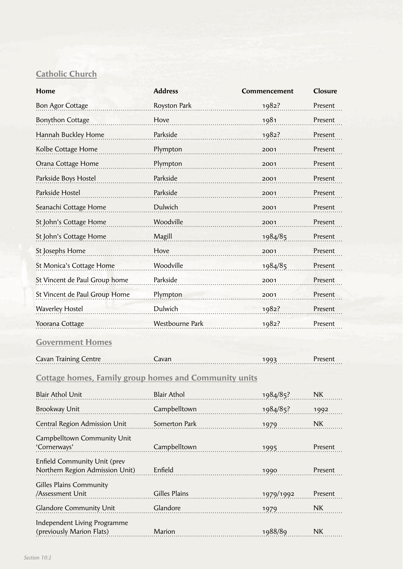## **Catholic Church**

| Home                                                            | <b>Address</b>     | Commencement | Closure   |  |  |
|-----------------------------------------------------------------|--------------------|--------------|-----------|--|--|
| <b>Bon Agor Cottage</b>                                         | Royston Park       | 1982?        | Present   |  |  |
| <b>Bonython Cottage</b>                                         | Hove               | 1981         | Present   |  |  |
| Hannah Buckley Home                                             | Parkside           | 1982?        | Present   |  |  |
| Kolbe Cottage Home                                              | Plympton           | 2001         | Present   |  |  |
| Orana Cottage Home                                              | Plympton           | 2001         | Present   |  |  |
| Parkside Boys Hostel                                            | Parkside           | 2001         | Present   |  |  |
| Parkside Hostel                                                 | Parkside           | 2001         | Present   |  |  |
| Seanachi Cottage Home                                           | Dulwich            | 2001         | Present   |  |  |
| St John's Cottage Home                                          | Woodville          | 2001         | Present   |  |  |
| St John's Cottage Home                                          | Magill             | 1984/85      | Present   |  |  |
| St Josephs Home                                                 | Hove               | 2001         | Present   |  |  |
| St Monica's Cottage Home                                        | Woodville          | 1984/85      | Present   |  |  |
| St Vincent de Paul Group home                                   | Parkside           | 2001         | Present   |  |  |
| St Vincent de Paul Group Home                                   | Plympton           | 2001         | Present   |  |  |
| <b>Waverley Hostel</b>                                          | Dulwich            | 1982?        | Present   |  |  |
| Yoorana Cottage                                                 | Westbourne Park    | 1982?        | Present   |  |  |
| <b>Government Homes</b>                                         |                    |              |           |  |  |
| <b>Cavan Training Centre</b>                                    | Cavan              | 1993         | Present   |  |  |
| <b>Cottage homes, Family group homes and Community units</b>    |                    |              |           |  |  |
| <b>Blair Athol Unit</b>                                         | <b>Blair Athol</b> | 1984/85?     | <b>NK</b> |  |  |
| <b>Brookway Unit</b>                                            | Campbelltown       | 1984/85?     | 1992      |  |  |
| Central Region Admission Unit                                   | Somerton Park      | 1979         | <b>NK</b> |  |  |
| Campbelltown Community Unit<br>'Cornerways'                     | Campbelltown       | 1995         | Present   |  |  |
| Enfield Community Unit (prev<br>Northern Region Admission Unit) | Enfield            | 1990         | Present   |  |  |
| <b>Gilles Plains Community</b><br>/Assessment Unit              | Gilles Plains      | 1979/1992    | Present   |  |  |
| Glandore Community Unit                                         | Glandore           | 1979         | <b>NK</b> |  |  |
| Independent Living Programme<br>(previously Marion Flats)       | Marion             | 1988/89      | NK        |  |  |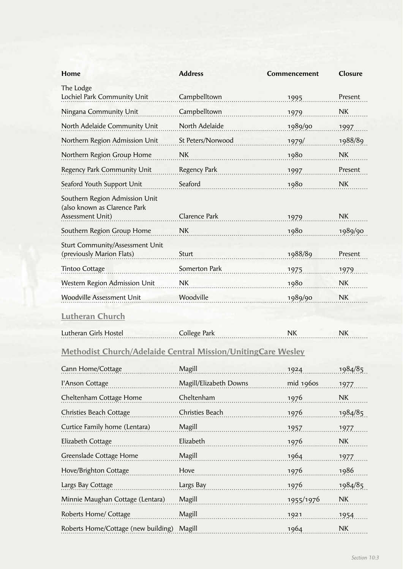| Home                                                                               | <b>Address</b>                                                   | Commencement | Closure          |
|------------------------------------------------------------------------------------|------------------------------------------------------------------|--------------|------------------|
| The Lodge<br>Lochiel Park Community Unit                                           | Campbelltown                                                     | 1995         | Present          |
| Ningana Community Unit                                                             | Campbelltown                                                     | 1979         | <b>NK</b>        |
| North Adelaide Community Unit                                                      | North Adelaide                                                   | 1989/90      | 1997             |
| Northern Region Admission Unit                                                     | St Peters/Norwood                                                | 1979/        | 1988/89          |
| Northern Region Group Home                                                         | NK                                                               | 1980         | <b>NK</b>        |
| Regency Park Community Unit                                                        | Regency Park                                                     | 1997         | Present          |
| Seaford Youth Support Unit                                                         | Seaford                                                          | 1980         | <b>NK</b>        |
| Southern Region Admission Unit<br>(also known as Clarence Park<br>Assessment Unit) | Clarence Park                                                    | 1979         | <b>NK</b>        |
| Southern Region Group Home                                                         | <b>NK</b>                                                        | 1980         | 1989/90          |
| <b>Sturt Community/Assessment Unit</b><br>(previously Marion Flats)                | Sturt                                                            | 1988/89      | Present          |
| <b>Tintoo Cottage</b>                                                              | Somerton Park                                                    | 1975         | 1979             |
| Western Region Admission Unit                                                      | NK                                                               | 1980         | NK               |
| <b>Woodville Assessment Unit</b>                                                   | Woodville                                                        | 1989/90      | <b>NK</b>        |
| <b>Lutheran Church</b>                                                             |                                                                  |              |                  |
| Lutheran Girls Hostel                                                              | College Park                                                     | <b>NK</b>    | <b>NK</b>        |
| <b>Methodist Church/Adelaide Central Mission/UnitingCare Wesley</b>                |                                                                  |              |                  |
| Cann Home/Cottage                                                                  | $\begin{minipage}{0.9\linewidth} \textbf{Magill} \end{minipage}$ | $1924$ .     | 1984/85          |
| l'Anson Cottage                                                                    | Magill/Elizabeth Downs                                           | mid 1960s    | 1977.            |
| Cheltenham Cottage Home                                                            | Cheltenham                                                       | 1976         | NK               |
| Christies Beach Cottage                                                            | Christies Beach                                                  | 1976         | 1984/85          |
| Curtice Family home (Lentara)                                                      | Magill                                                           | 1957         | 1977.            |
| Elizabeth Cottage                                                                  | Elizabeth                                                        | 1976         | <b>NK</b>        |
| Greenslade Cottage Home                                                            | Magill                                                           | 1964         | 1977             |
| Hove/Brighton Cottage                                                              | Hove                                                             | 1976         | 1986             |
| Largs Bay Cottage                                                                  | Largs Bay                                                        | 1976         | 1984/85          |
| Minnie Maughan Cottage (Lentara)                                                   | Magill<br>.                                                      | 1955/1976    | <b>NK</b>        |
| Roberts Home/ Cottage                                                              | Magill                                                           | 1921         | 1954             |
| Roberts Home/Cottage (new building)                                                | Magill                                                           | 1964         | ${\sf N}{\sf K}$ |